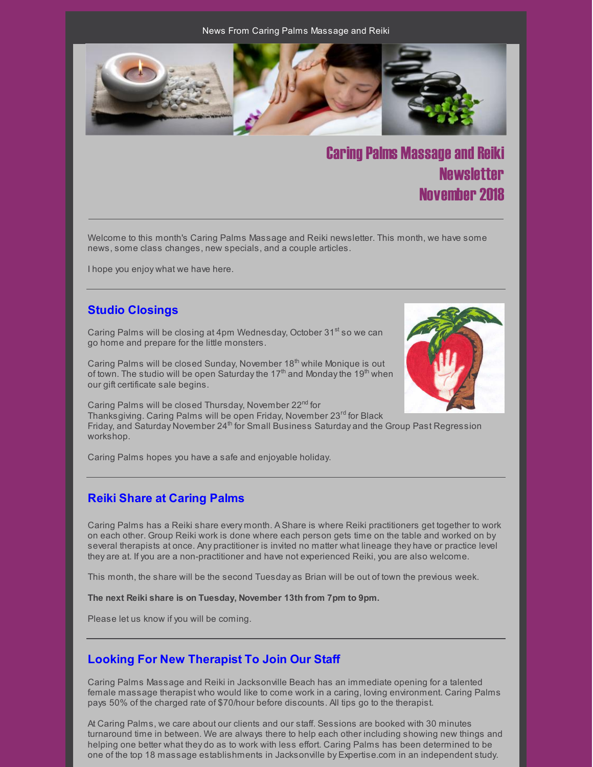News From Caring Palms Massage and Reiki



**Caring Palms Massage and Reiki Newsletter** November 2018

Welcome to this month's Caring Palms Massage and Reiki newsletter. This month, we have some news, some class changes, new specials, and a couple articles.

I hope you enjoy what we have here.

## **Studio Closings**

Caring Palms will be closing at 4pm Wednesday, October 31<sup>st</sup> so we can go home and prepare for the little monsters.

Caring Palms will be closed Sunday, November 18<sup>th</sup> while Monique is out of town. The studio will be open Saturday the 17<sup>th</sup> and Monday the 19<sup>th</sup> when our gift certificate sale begins.



Caring Palms will be closed Thursday, November 22<sup>nd</sup> for Thanksgiving. Caring Palms will be open Friday, November 23rd for Black Friday, and Saturday November 24<sup>th</sup> for Small Business Saturday and the Group Past Regression workshop.

Caring Palms hopes you have a safe and enjoyable holiday.

# **Reiki Share at Caring Palms**

Caring Palms has a Reiki share every month. A Share is where Reiki practitioners get together to work on each other. Group Reiki work is done where each person gets time on the table and worked on by several therapists at once. Any practitioner is invited no matter what lineage they have or practice level they are at. If you are a non-practitioner and have not experienced Reiki, you are also welcome.

This month, the share will be the second Tuesday as Brian will be out of town the previous week.

**The next Reiki share is on Tuesday, November 13th from 7pm to 9pm.**

Please let us know if you will be coming.

## **Looking For New Therapist To Join Our Staff**

Caring Palms Massage and Reiki in Jacksonville Beach has an immediate opening for a talented female massage therapist who would like to come work in a caring, loving environment. Caring Palms pays 50% of the charged rate of \$70/hour before discounts. All tips go to the therapist.

At Caring Palms, we care about our clients and our staff. Sessions are booked with 30 minutes turnaround time in between. We are always there to help each other including showing new things and helping one better what they do as to work with less effort. Caring Palms has been determined to be one of the top 18 massage establishments in Jacksonville by Expertise.com in an independent study.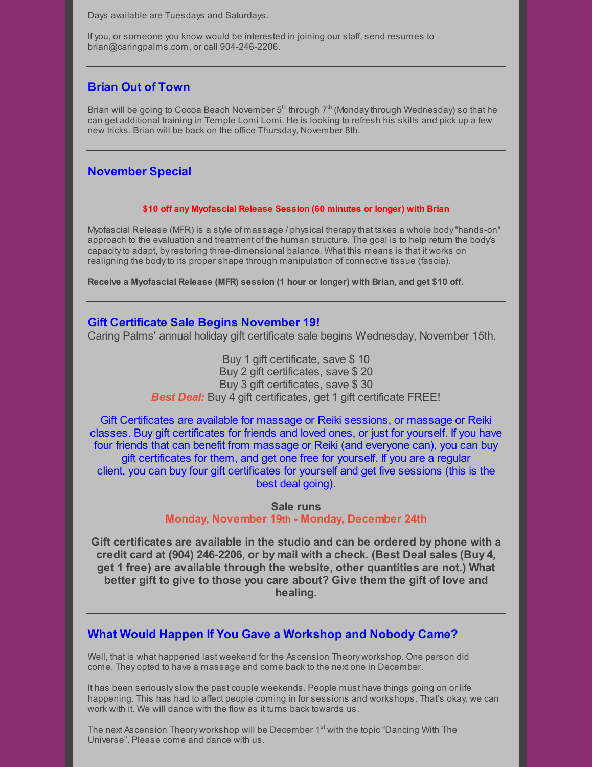Days available are Tuesdays and Saturdays.

If you, or someone you know would be interested in joining our staff, send resumes to brian@caringpalms.com, or call 904-246-2206.

## **Brian Out of Town**

Brian will be going to Cocoa Beach November  $5<sup>th</sup>$  through  $7<sup>th</sup>$  (Monday through Wednesday) so that he can get additional training in Temple Lomi Lomi. He is looking to refresh his skills and pick up a few new tricks. Brian will be back on the office Thursday, November 8th.

## **November Special**

### **\$10 off any Myofascial Release Session (60 minutes or longer) with Brian**

Myofascial Release (MFR) is a style of massage / physical therapythat takes a whole body"hands-on" approach to the evaluation and treatment of the human structure. The goal is to help return the body's capacityto adapt, byrestoring three-dimensional balance. What this means is that it works on realigning the bodyto its proper shape through manipulation of connective tissue (fascia).

**Receive a Myofascial Release (MFR) session (1 hour or longer) with Brian, and get \$10 off.**

### **Gift Certificate Sale Begins November 19!**

Caring Palms' annual holiday gift certificate sale begins Wednesday, November 15th.

Buy 1 gift certificate, save \$ 10 Buy 2 gift certificates, save \$ 20 Buy 3 gift certificates, save \$ 30 *Best Deal:* Buy 4 gift certificates, get 1 gift certificate FREE!

Gift Certificates are available for massage or Reiki sessions, or massage or Reiki classes. Buy gift certificates for friends and loved ones, or just for yourself. If you have four friends that can benefit from massage or Reiki (and everyone can), you can buy gift certificates for them, and get one free for yourself. If you are a regular client, you can buy four gift certificates for yourself and get five sessions (this is the best deal going).

> **Sale runs Monday, November 19th - Monday, December 24th**

**Gift certificates are available in the studio and can be ordered by phone with a credit card at (904) 246-2206, or by mail with a check. (Best Deal sales (Buy 4, get 1 free) are available through the website, other quantities are not.) What better gift to give to those you care about? Give them the gift of love and healing.**

# **What Would Happen If You Gave a Workshop and Nobody Came?**

Well, that is what happened last weekend for the Ascension Theory workshop. One person did come. They opted to have a massage and come back to the next one in December.

It has been seriouslyslow the past couple weekends. People must have things going on or life happening. This has had to affect people coming in for sessions and workshops. That's okay, we can work with it. We will dance with the flow as it turns back towards us.

The next Ascension Theory workshop will be December 1<sup>st</sup> with the topic "Dancing With The Universe". Please come and dance with us.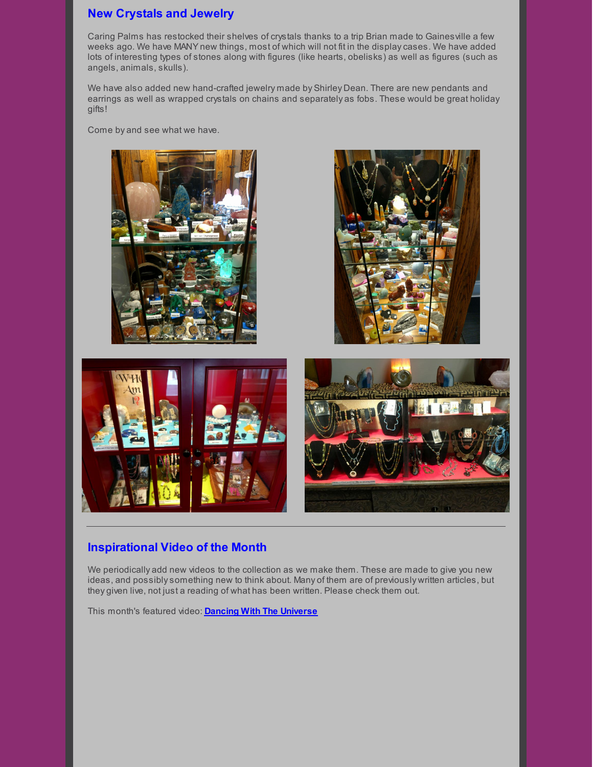# **New Crystals and Jewelry**

Caring Palms has restocked their shelves of crystals thanks to a trip Brian made to Gainesville a few weeks ago. We have MANY new things, most of which will not fit in the displaycases. We have added lots of interesting types of stones along with figures (like hearts, obelisks) as well as figures (such as angels, animals, skulls).

We have also added new hand-crafted jewelry made by Shirley Dean. There are new pendants and earrings as well as wrapped crystals on chains and separately as fobs. These would be great holiday gifts!

Come by and see what we have.



# **Inspirational Video of the Month**

We periodically add new videos to the collection as we make them. These are made to give you new ideas, and possiblysomething new to think about. Many of them are of previously written articles, but they given live, not just a reading of what has been written. Please check them out.

This month's featured video: **Dancing With The [Universe](https://youtu.be/XrnVz5sMq4c)**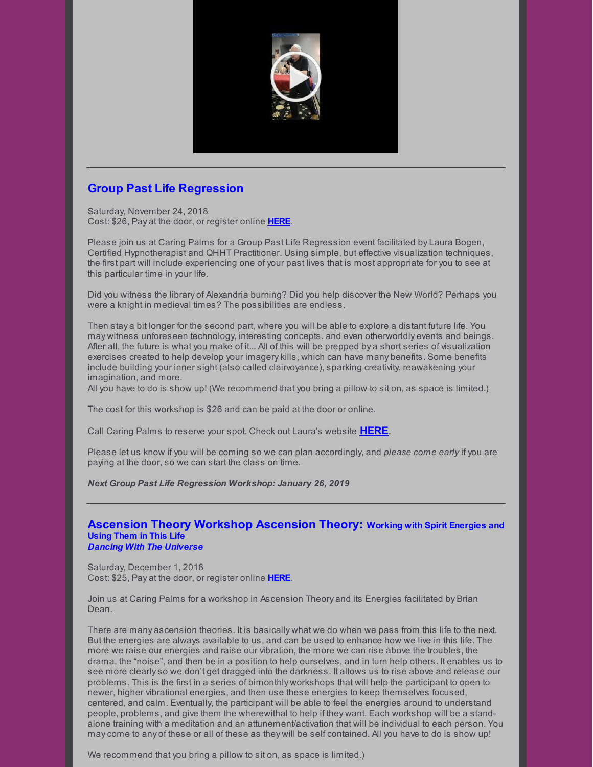

# **Group Past Life Regression**

Saturday, November 24, 2018 Cost: \$26, Pay at the door, or register online **[HERE](https://www.universe.com/events/group-past-life-regression-september-2018-tickets-7RMHNV)**.

Please join us at Caring Palms for a Group Past Life Regression event facilitated by Laura Bogen, Certified Hypnotherapist and QHHT Practitioner. Using simple, but effective visualization techniques, the first part will include experiencing one of your past lives that is most appropriate for you to see at this particular time in your life.

Did you witness the library of Alexandria burning? Did you help discover the New World? Perhaps you were a knight in medieval times? The possibilities are endless.

Then stay a bit longer for the second part, where you will be able to explore a distant future life. You may witness unforeseen technology, interesting concepts, and even otherworldly events and beings. After all, the future is what you make of it... All of this will be prepped by a short series of visualization exercises created to help develop your imagerykills, which can have many benefits. Some benefits include building your inner sight (also called clairvoyance), sparking creativity, reawakening your imagination, and more.

All you have to do is show up! (We recommend that you bring a pillow to sit on, as space is limited.)

The cost for this workshop is \$26 and can be paid at the door or online.

Call Caring Palms to reserve your spot. Check out Laura's website **[HERE](http://www.soultrekexperience.com/)**.

Please let us know if you will be coming so we can plan accordingly, and *please come early* if you are paying at the door, so we can start the class on time.

*Next Group Past Life Regression Workshop: January 26, 2019*

### **Ascension Theory Workshop Ascension Theory: Working with Spirit Energies and Using Them in This Life** *Dancing With The Universe*

Saturday, December 1, 2018 Cost: \$25, Pay at the door, or register online **[HERE](https://www.universe.com/events/ascension-theory-surrounding-yourself-in-the-light-december-2018-tickets-XC3M5Y)**.

Join us at Caring Palms for a workshop in Ascension Theory and its Energies facilitated by Brian Dean.

There are many ascension theories. It is basically what we do when we pass from this life to the next. But the energies are always available to us, and can be used to enhance how we live in this life. The more we raise our energies and raise our vibration, the more we can rise above the troubles, the drama, the "noise", and then be in a position to help ourselves, and in turn help others. It enables us to see more clearlyso we don't get dragged into the darkness. It allows us to rise above and release our problems. This is the first in a series of bimonthly workshops that will help the participant to open to newer, higher vibrational energies, and then use these energies to keep themselves focused, centered, and calm. Eventually, the participant will be able to feel the energies around to understand people, problems, and give them the wherewithal to help if they want. Each workshop will be a standalone training with a meditation and an attunement/activation that will be individual to each person. You maycome to any of these or all of these as they will be self contained. All you have to do is show up!

We recommend that you bring a pillow to sit on, as space is limited.)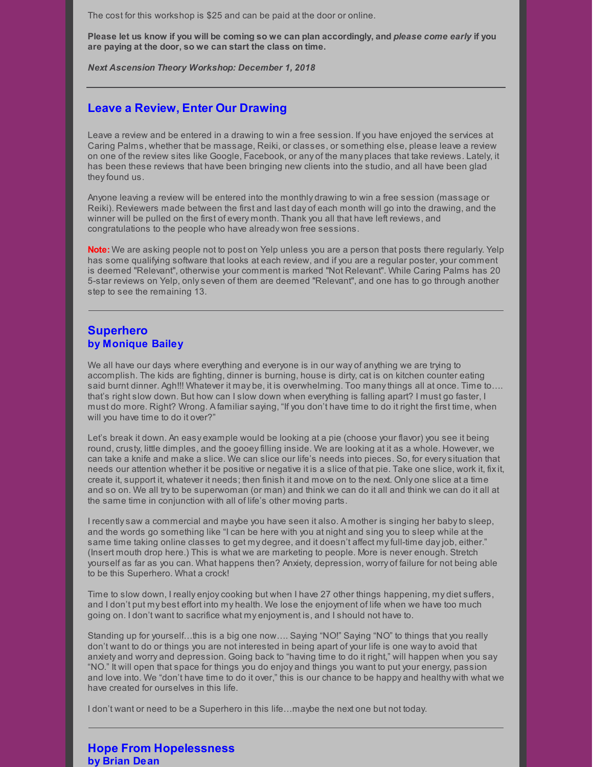The cost for this workshop is \$25 and can be paid at the door or online.

Please let us know if you will be coming so we can plan accordingly, and please come early if you **are paying at the door, so we can start the class on time.**

*Next Ascension Theory Workshop: December 1, 2018*

### **Leave a Review, Enter Our Drawing**

Leave a review and be entered in a drawing to win a free session. If you have enjoyed the services at Caring Palms, whether that be massage, Reiki, or classes, or something else, please leave a review on one of the review sites like Google, Facebook, or any of the many places that take reviews. Lately, it has been these reviews that have been bringing new clients into the studio, and all have been glad they found us.

Anyone leaving a review will be entered into the monthly drawing to win a free session (massage or Reiki). Reviewers made between the first and last day of each month will go into the drawing, and the winner will be pulled on the first of every month. Thank you all that have left reviews, and congratulations to the people who have already won free sessions.

**Note:** We are asking people not to post on Yelp unless you are a person that posts there regularly. Yelp has some qualifying software that looks at each review, and if you are a regular poster, your comment is deemed "Relevant", otherwise your comment is marked "Not Relevant". While Caring Palms has 20 5-star reviews on Yelp, onlyseven of them are deemed "Relevant", and one has to go through another step to see the remaining 13.

### **Superhero by Monique Bailey**

We all have our days where everything and everyone is in our way of anything we are trying to accomplish. The kids are fighting, dinner is burning, house is dirty, cat is on kitchen counter eating said burnt dinner. Agh!!! Whatever it may be, it is overwhelming. Too manythings all at once. Time to…. that's right slow down. But how can I slow down when everything is falling apart? I must go faster, I must do more. Right? Wrong. A familiar saying, "If you don't have time to do it right the first time, when will you have time to do it over?"

Let's break it down. An easy example would be looking at a pie (choose your flavor) you see it being round, crusty, little dimples, and the gooey filling inside. We are looking at it as a whole. However, we can take a knife and make a slice. We can slice our life's needs into pieces. So, for everysituation that needs our attention whether it be positive or negative it is a slice of that pie. Take one slice, work it, fixit, create it, support it, whatever it needs; then finish it and move on to the next. Only one slice at a time and so on. We all tryto be superwoman (or man) and think we can do it all and think we can do it all at the same time in conjunction with all of life's other moving parts.

I recentlysaw a commercial and maybe you have seen it also. A mother is singing her babyto sleep, and the words go something like "I can be here with you at night and sing you to sleep while at the same time taking online classes to get my degree, and it doesn't affect my full-time day job, either." (Insert mouth drop here.) This is what we are marketing to people. More is never enough. Stretch yourself as far as you can. What happens then? Anxiety, depression, worry of failure for not being able to be this Superhero. What a crock!

Time to slow down, I really enjoycooking but when I have 27 other things happening, my diet suffers, and I don't put my best effort into my health. We lose the enjoyment of life when we have too much going on. I don't want to sacrifice what my enjoyment is, and I should not have to.

Standing up for yourself…this is a big one now…. Saying "NO!" Saying "NO" to things that you really don't want to do or things you are not interested in being apart of your life is one wayto avoid that anxiety and worry and depression. Going back to "having time to do it right," will happen when you say "NO." It will open that space for things you do enjoy and things you want to put your energy, passion and love into. We "don't have time to do it over," this is our chance to be happy and healthy with what we have created for ourselves in this life.

I don't want or need to be a Superhero in this life…maybe the next one but not today.

### **Hope From Hopelessness by Brian Dean**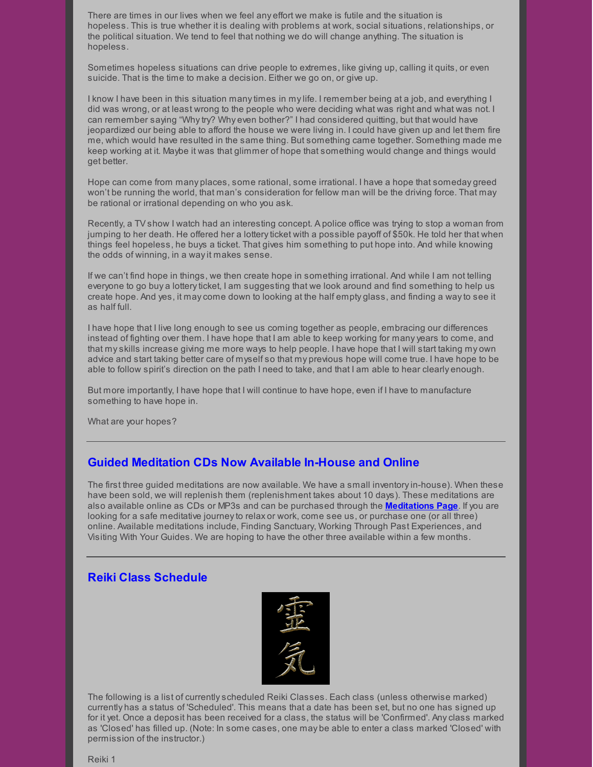There are times in our lives when we feel any effort we make is futile and the situation is hopeless. This is true whether it is dealing with problems at work, social situations, relationships, or the political situation. We tend to feel that nothing we do will change anything. The situation is hopeless.

Sometimes hopeless situations can drive people to extremes, like giving up, calling it quits, or even suicide. That is the time to make a decision. Either we go on, or give up.

I know I have been in this situation manytimes in mylife. I remember being at a job, and everything I did was wrong, or at least wrong to the people who were deciding what was right and what was not. I can remember saying "Whytry? Why even bother?" I had considered quitting, but that would have jeopardized our being able to afford the house we were living in. I could have given up and let them fire me, which would have resulted in the same thing. But something came together. Something made me keep working at it. Maybe it was that glimmer of hope that something would change and things would get better.

Hope can come from many places, some rational, some irrational. I have a hope that someday greed won't be running the world, that man's consideration for fellow man will be the driving force. That may be rational or irrational depending on who you ask.

Recently, a TV show I watch had an interesting concept. A police office was trying to stop a woman from jumping to her death. He offered her a lottery ticket with a possible payoff of \$50k. He told her that when things feel hopeless, he buys a ticket. That gives him something to put hope into. And while knowing the odds of winning, in a wayit makes sense.

If we can't find hope in things, we then create hope in something irrational. And while I am not telling everyone to go buy a lottery ticket, I am suggesting that we look around and find something to help us create hope. And yes, it maycome down to looking at the half empty glass, and finding a wayto see it as half full.

I have hope that I live long enough to see us coming together as people, embracing our differences instead of fighting over them. I have hope that I am able to keep working for manyyears to come, and that myskills increase giving me more ways to help people. I have hope that I will start taking my own advice and start taking better care of myself so that my previous hope will come true. I have hope to be able to follow spirit's direction on the path I need to take, and that I am able to hear clearly enough.

But more importantly, I have hope that I will continue to have hope, even if I have to manufacture something to have hope in.

What are your hopes?

# **Guided Meditation CDs Now Available In-House and Online**

The first three guided meditations are now available. We have a small inventoryin-house). When these have been sold, we will replenish them (replenishment takes about 10 days). These meditations are also available online as CDs or MP3s and can be purchased through the **[Meditations](http://caringpalms.com/meditations.html) Page**. If you are looking for a safe meditative journeyto relax or work, come see us, or purchase one (or all three) online. Available meditations include, Finding Sanctuary, Working Through Past Experiences, and Visiting With Your Guides. We are hoping to have the other three available within a few months.

## **Reiki Class Schedule**



The following is a list of currentlyscheduled Reiki Classes. Each class (unless otherwise marked) currently has a status of 'Scheduled'. This means that a date has been set, but no one has signed up for it yet. Once a deposit has been received for a class, the status will be 'Confirmed'. Anyclass marked as 'Closed' has filled up. (Note: In some cases, one may be able to enter a class marked 'Closed' with permission of the instructor.)

Reiki 1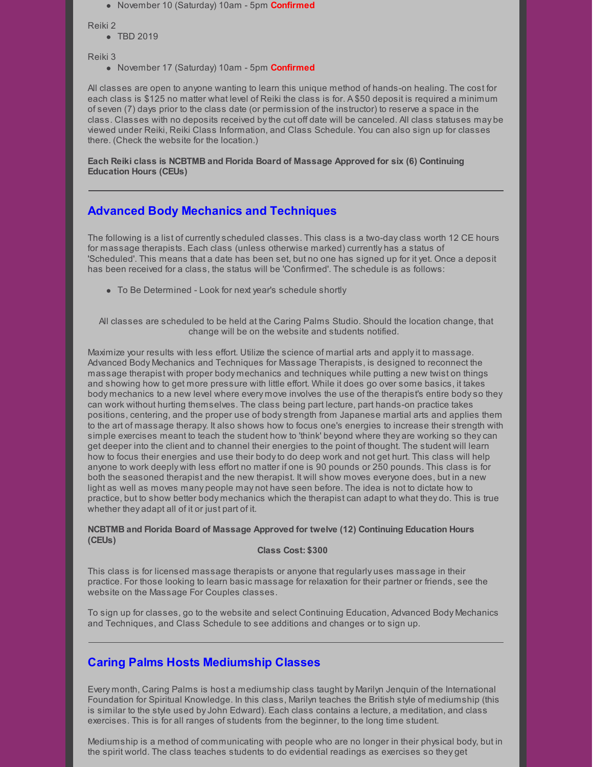November 10 (Saturday) 10am - 5pm **Confirmed**

Reiki 2

• TBD 2019

Reiki 3

November 17 (Saturday) 10am - 5pm **Confirmed**

All classes are open to anyone wanting to learn this unique method of hands-on healing. The cost for each class is \$125 no matter what level of Reiki the class is for. A \$50 deposit is required a minimum of seven (7) days prior to the class date (or permission of the instructor) to reserve a space in the class. Classes with no deposits received bythe cut off date will be canceled. All class statuses may be viewed under Reiki, Reiki Class Information, and Class Schedule. You can also sign up for classes there. (Check the website for the location.)

**Each Reiki class is NCBTMB and Florida Board of Massage Approved for six (6) Continuing Education Hours (CEUs)**

# **Advanced Body Mechanics and Techniques**

The following is a list of currentlyscheduled classes. This class is a two-dayclass worth 12 CE hours for massage therapists. Each class (unless otherwise marked) currently has a status of 'Scheduled'. This means that a date has been set, but no one has signed up for it yet. Once a deposit has been received for a class, the status will be 'Confirmed'. The schedule is as follows:

To Be Determined - Look for next year's schedule shortly

All classes are scheduled to be held at the Caring Palms Studio. Should the location change, that change will be on the website and students notified.

Maximize your results with less effort. Utilize the science of martial arts and applyit to massage. Advanced Body Mechanics and Techniques for Massage Therapists, is designed to reconnect the massage therapist with proper body mechanics and techniques while putting a new twist on things and showing how to get more pressure with little effort. While it does go over some basics, it takes body mechanics to a new level where every move involves the use of the therapist's entire bodyso they can work without hurting themselves. The class being part lecture, part hands-on practice takes positions, centering, and the proper use of bodystrength from Japanese martial arts and applies them to the art of massage therapy. It also shows how to focus one's energies to increase their strength with simple exercises meant to teach the student how to 'think' beyond where they are working so theycan get deeper into the client and to channel their energies to the point of thought. The student will learn how to focus their energies and use their bodyto do deep work and not get hurt. This class will help anyone to work deeply with less effort no matter if one is 90 pounds or 250 pounds. This class is for both the seasoned therapist and the new therapist. It will show moves everyone does, but in a new light as well as moves many people may not have seen before. The idea is not to dictate how to practice, but to show better body mechanics which the therapist can adapt to what they do. This is true whether they adapt all of it or just part of it.

#### **NCBTMB and Florida Board of Massage Approved for twelve (12) Continuing Education Hours (CEUs)**

#### **Class Cost: \$300**

This class is for licensed massage therapists or anyone that regularly uses massage in their practice. For those looking to learn basic massage for relaxation for their partner or friends, see the website on the Massage For Couples classes.

To sign up for classes, go to the website and select Continuing Education, Advanced Body Mechanics and Techniques, and Class Schedule to see additions and changes or to sign up.

# **Caring Palms Hosts Mediumship Classes**

Every month, Caring Palms is host a mediumship class taught by Marilyn Jenquin of the International Foundation for Spiritual Knowledge. In this class, Marilyn teaches the British style of mediumship (this is similar to the style used byJohn Edward). Each class contains a lecture, a meditation, and class exercises. This is for all ranges of students from the beginner, to the long time student.

Mediumship is a method of communicating with people who are no longer in their physical body, but in the spirit world. The class teaches students to do evidential readings as exercises so they get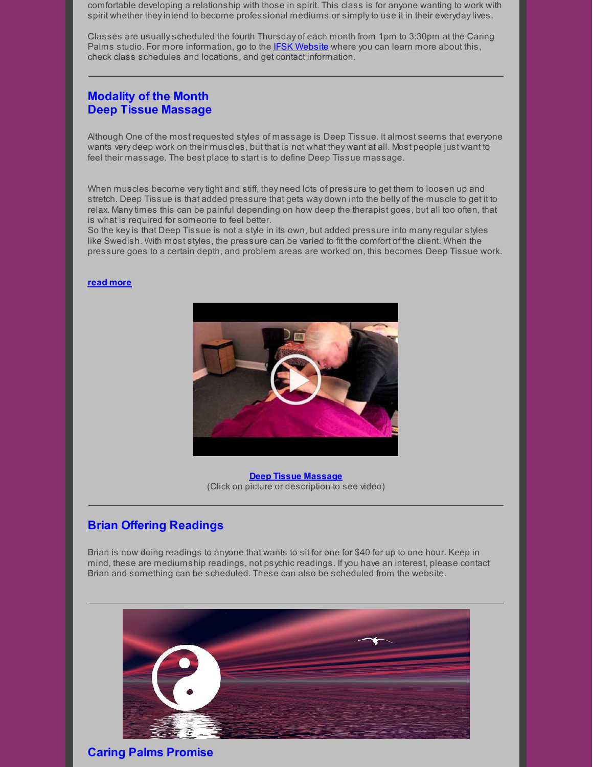comfortable developing a relationship with those in spirit. This class is for anyone wanting to work with spirit whether theyintend to become professional mediums or simplyto use it in their everydaylives.

Classes are usuallyscheduled the fourth Thursday of each month from 1pm to 3:30pm at the Caring Palms studio. For more information, go to the **IFSK [Website](http://www.ifsk.org/)** where you can learn more about this, check class schedules and locations, and get contact information.

# **Modality of the Month Deep Tissue Massage**

Although One of the most requested styles of massage is Deep Tissue. It almost seems that everyone wants very deep work on their muscles, but that is not what they want at all. Most people just want to feel their massage. The best place to start is to define Deep Tissue massage.

When muscles become verytight and stiff, they need lots of pressure to get them to loosen up and stretch. Deep Tissue is that added pressure that gets way down into the belly of the muscle to get it to relax. Manytimes this can be painful depending on how deep the therapist goes, but all too often, that is what is required for someone to feel better.

So the keyis that Deep Tissue is not a style in its own, but added pressure into manyregular styles like Swedish. With most styles, the pressure can be varied to fit the comfort of the client. When the pressure goes to a certain depth, and problem areas are worked on, this becomes Deep Tissue work.

#### **read [more](http://caringpalms.com/article_deeptissue.html)**



**Deep Tissue [Massage](https://www.youtube.com/watch?time_continue=1&v=AgDuooFoD3w)** (Click on picture or description to see video)

## **Brian Offering Readings**

Brian is now doing readings to anyone that wants to sit for one for \$40 for up to one hour. Keep in mind, these are mediumship readings, not psychic readings. If you have an interest, please contact Brian and something can be scheduled. These can also be scheduled from the website.



**Caring Palms Promise**